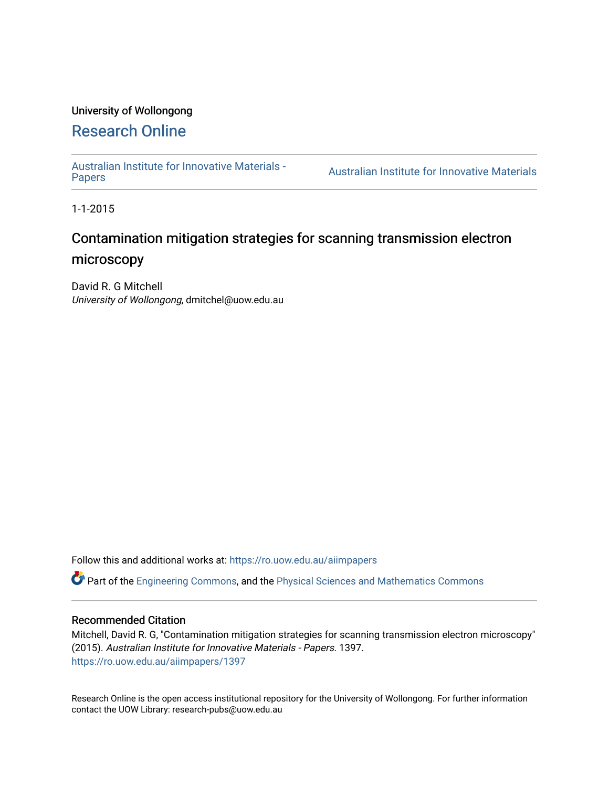# University of Wollongong

# [Research Online](https://ro.uow.edu.au/)

[Australian Institute for Innovative Materials -](https://ro.uow.edu.au/aiimpapers)

**Australian Institute for Innovative Materials** 

1-1-2015

# Contamination mitigation strategies for scanning transmission electron microscopy

David R. G Mitchell University of Wollongong, dmitchel@uow.edu.au

Follow this and additional works at: [https://ro.uow.edu.au/aiimpapers](https://ro.uow.edu.au/aiimpapers?utm_source=ro.uow.edu.au%2Faiimpapers%2F1397&utm_medium=PDF&utm_campaign=PDFCoverPages)

Part of the [Engineering Commons](http://network.bepress.com/hgg/discipline/217?utm_source=ro.uow.edu.au%2Faiimpapers%2F1397&utm_medium=PDF&utm_campaign=PDFCoverPages), and the [Physical Sciences and Mathematics Commons](http://network.bepress.com/hgg/discipline/114?utm_source=ro.uow.edu.au%2Faiimpapers%2F1397&utm_medium=PDF&utm_campaign=PDFCoverPages) 

#### Recommended Citation

Mitchell, David R. G, "Contamination mitigation strategies for scanning transmission electron microscopy" (2015). Australian Institute for Innovative Materials - Papers. 1397. [https://ro.uow.edu.au/aiimpapers/1397](https://ro.uow.edu.au/aiimpapers/1397?utm_source=ro.uow.edu.au%2Faiimpapers%2F1397&utm_medium=PDF&utm_campaign=PDFCoverPages) 

Research Online is the open access institutional repository for the University of Wollongong. For further information contact the UOW Library: research-pubs@uow.edu.au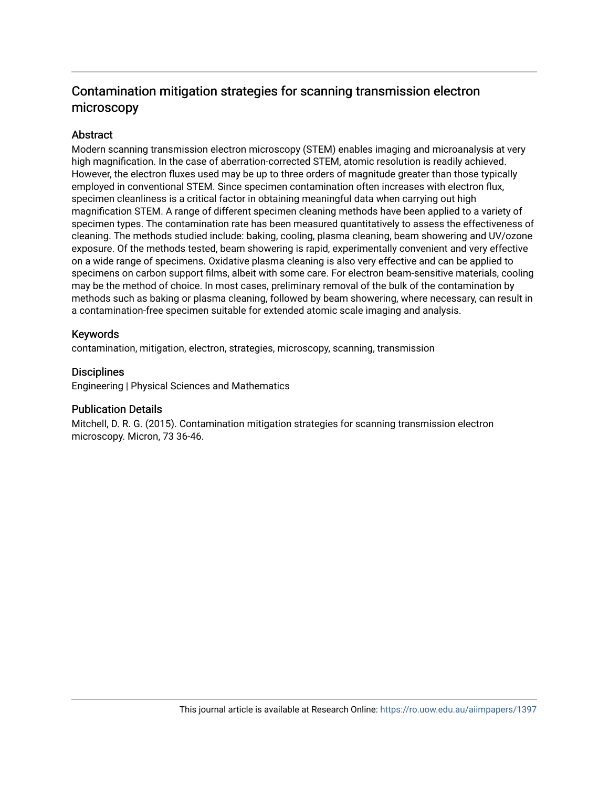# Contamination mitigation strategies for scanning transmission electron microscopy

#### **Abstract**

Modern scanning transmission electron microscopy (STEM) enables imaging and microanalysis at very high magnification. In the case of aberration-corrected STEM, atomic resolution is readily achieved. However, the electron fluxes used may be up to three orders of magnitude greater than those typically employed in conventional STEM. Since specimen contamination often increases with electron flux, specimen cleanliness is a critical factor in obtaining meaningful data when carrying out high magnification STEM. A range of different specimen cleaning methods have been applied to a variety of specimen types. The contamination rate has been measured quantitatively to assess the effectiveness of cleaning. The methods studied include: baking, cooling, plasma cleaning, beam showering and UV/ozone exposure. Of the methods tested, beam showering is rapid, experimentally convenient and very effective on a wide range of specimens. Oxidative plasma cleaning is also very effective and can be applied to specimens on carbon support films, albeit with some care. For electron beam-sensitive materials, cooling may be the method of choice. In most cases, preliminary removal of the bulk of the contamination by methods such as baking or plasma cleaning, followed by beam showering, where necessary, can result in a contamination-free specimen suitable for extended atomic scale imaging and analysis.

#### Keywords

contamination, mitigation, electron, strategies, microscopy, scanning, transmission

# **Disciplines**

Engineering | Physical Sciences and Mathematics

#### Publication Details

Mitchell, D. R. G. (2015). Contamination mitigation strategies for scanning transmission electron microscopy. Micron, 73 36-46.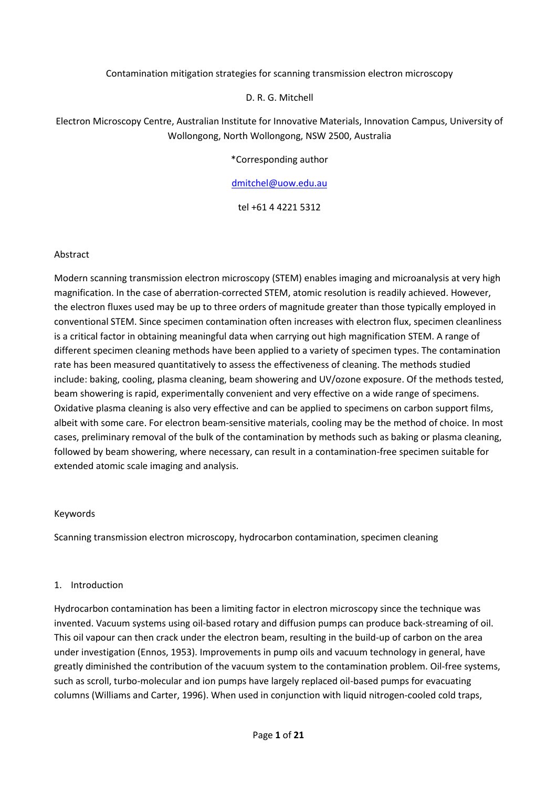#### Contamination mitigation strategies for scanning transmission electron microscopy

#### D. R. G. Mitchell

# Electron Microscopy Centre, Australian Institute for Innovative Materials, Innovation Campus, University of Wollongong, North Wollongong, NSW 2500, Australia

\*Corresponding author

#### [dmitchel@uow.edu.au](mailto:dmitchel@uow.edu.au)

tel +61 4 4221 5312

#### Abstract

Modern scanning transmission electron microscopy (STEM) enables imaging and microanalysis at very high magnification. In the case of aberration-corrected STEM, atomic resolution is readily achieved. However, the electron fluxes used may be up to three orders of magnitude greater than those typically employed in conventional STEM. Since specimen contamination often increases with electron flux, specimen cleanliness is a critical factor in obtaining meaningful data when carrying out high magnification STEM. A range of different specimen cleaning methods have been applied to a variety of specimen types. The contamination rate has been measured quantitatively to assess the effectiveness of cleaning. The methods studied include: baking, cooling, plasma cleaning, beam showering and UV/ozone exposure. Of the methods tested, beam showering is rapid, experimentally convenient and very effective on a wide range of specimens. Oxidative plasma cleaning is also very effective and can be applied to specimens on carbon support films, albeit with some care. For electron beam-sensitive materials, cooling may be the method of choice. In most cases, preliminary removal of the bulk of the contamination by methods such as baking or plasma cleaning, followed by beam showering, where necessary, can result in a contamination-free specimen suitable for extended atomic scale imaging and analysis.

#### Keywords

Scanning transmission electron microscopy, hydrocarbon contamination, specimen cleaning

#### 1. Introduction

Hydrocarbon contamination has been a limiting factor in electron microscopy since the technique was invented. Vacuum systems using oil-based rotary and diffusion pumps can produce back-streaming of oil. This oil vapour can then crack under the electron beam, resulting in the build-up of carbon on the area under investigation [\(Ennos, 1953\)](#page-15-0). Improvements in pump oils and vacuum technology in general, have greatly diminished the contribution of the vacuum system to the contamination problem. Oil-free systems, such as scroll, turbo-molecular and ion pumps have largely replaced oil-based pumps for evacuating columns [\(Williams and Carter, 1996\)](#page-16-0). When used in conjunction with liquid nitrogen-cooled cold traps,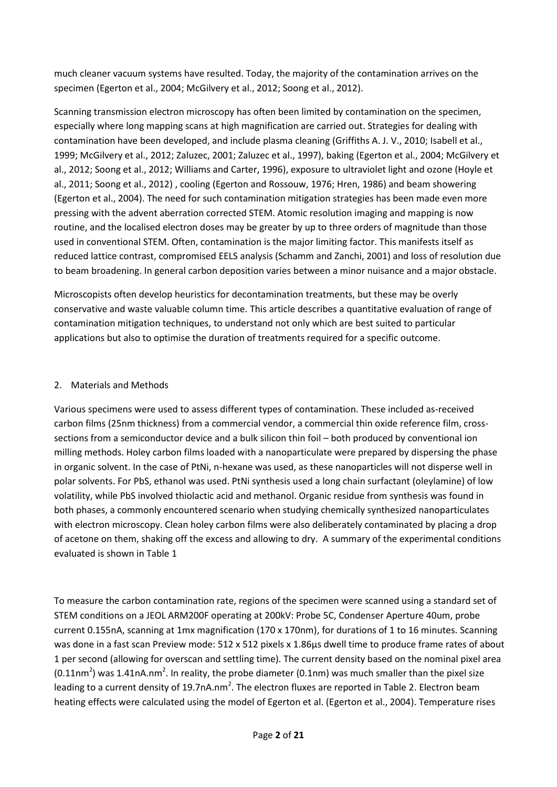much cleaner vacuum systems have resulted. Today, the majority of the contamination arrives on the specimen [\(Egerton et al., 2004;](#page-15-1) [McGilvery et al., 2012;](#page-15-2) [Soong et al., 2012\)](#page-16-1).

Scanning transmission electron microscopy has often been limited by contamination on the specimen, especially where long mapping scans at high magnification are carried out. Strategies for dealing with contamination have been developed, and include plasma cleaning [\(Griffiths A. J. V., 2010;](#page-15-3) [Isabell et al.,](#page-15-4)  [1999;](#page-15-4) [McGilvery et al., 2012;](#page-15-2) [Zaluzec, 2001;](#page-16-2) [Zaluzec et al., 1997\)](#page-16-3), baking [\(Egerton et al., 2004;](#page-15-1) [McGilvery et](#page-15-2)  [al., 2012;](#page-15-2) [Soong et al., 2012;](#page-16-1) [Williams and Carter, 1996\)](#page-16-0), exposure to ultraviolet light and ozone [\(Hoyle et](#page-15-5)  [al., 2011;](#page-15-5) [Soong et al., 2012\)](#page-16-1) , cooling [\(Egerton and Rossouw, 1976;](#page-15-6) [Hren, 1986\)](#page-15-7) and beam showering [\(Egerton et al., 2004\)](#page-15-1). The need for such contamination mitigation strategies has been made even more pressing with the advent aberration corrected STEM. Atomic resolution imaging and mapping is now routine, and the localised electron doses may be greater by up to three orders of magnitude than those used in conventional STEM. Often, contamination is the major limiting factor. This manifests itself as reduced lattice contrast, compromised EELS analysis [\(Schamm and Zanchi, 2001\)](#page-16-4) and loss of resolution due to beam broadening. In general carbon deposition varies between a minor nuisance and a major obstacle.

Microscopists often develop heuristics for decontamination treatments, but these may be overly conservative and waste valuable column time. This article describes a quantitative evaluation of range of contamination mitigation techniques, to understand not only which are best suited to particular applications but also to optimise the duration of treatments required for a specific outcome.

#### 2. Materials and Methods

Various specimens were used to assess different types of contamination. These included as-received carbon films (25nm thickness) from a commercial vendor, a commercial thin oxide reference film, crosssections from a semiconductor device and a bulk silicon thin foil – both produced by conventional ion milling methods. Holey carbon films loaded with a nanoparticulate were prepared by dispersing the phase in organic solvent. In the case of PtNi, n-hexane was used, as these nanoparticles will not disperse well in polar solvents. For PbS, ethanol was used. PtNi synthesis used a long chain surfactant (oleylamine) of low volatility, while PbS involved thiolactic acid and methanol. Organic residue from synthesis was found in both phases, a commonly encountered scenario when studying chemically synthesized nanoparticulates with electron microscopy. Clean holey carbon films were also deliberately contaminated by placing a drop of acetone on them, shaking off the excess and allowing to dry. A summary of the experimental conditions evaluated is shown in Table 1

To measure the carbon contamination rate, regions of the specimen were scanned using a standard set of STEM conditions on a JEOL ARM200F operating at 200kV: Probe 5C, Condenser Aperture 40um, probe current 0.155nA, scanning at 1mx magnification (170 x 170nm), for durations of 1 to 16 minutes. Scanning was done in a fast scan Preview mode: 512 x 512 pixels x 1.86us dwell time to produce frame rates of about 1 per second (allowing for overscan and settling time). The current density based on the nominal pixel area (0.11nm<sup>2</sup>) was 1.41nA.nm<sup>2</sup>. In reality, the probe diameter (0.1nm) was much smaller than the pixel size leading to a current density of 19.7nA.nm<sup>2</sup>. The electron fluxes are reported in Table 2. Electron beam heating effects were calculated using the model of Egerton et al. [\(Egerton et al., 2004\)](#page-15-1). Temperature rises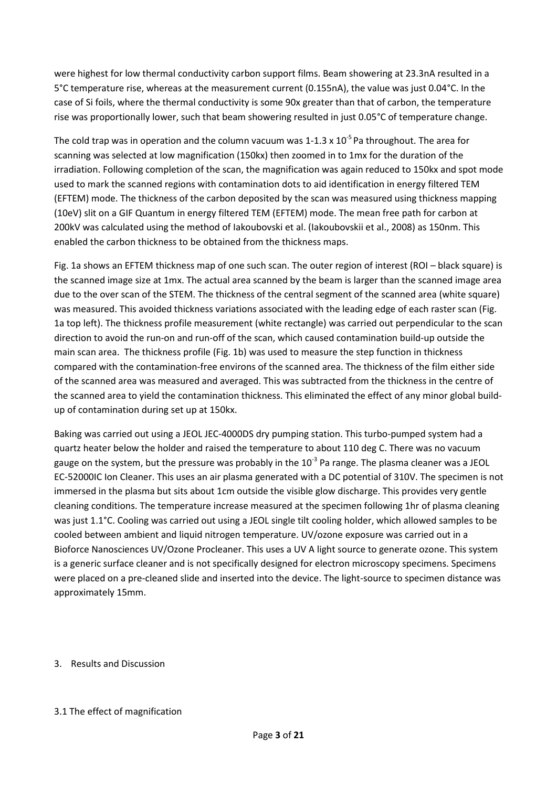were highest for low thermal conductivity carbon support films. Beam showering at 23.3nA resulted in a 5°C temperature rise, whereas at the measurement current (0.155nA), the value was just 0.04°C. In the case of Si foils, where the thermal conductivity is some 90x greater than that of carbon, the temperature rise was proportionally lower, such that beam showering resulted in just 0.05°C of temperature change.

The cold trap was in operation and the column vacuum was 1-1.3 x 10<sup>-5</sup> Pa throughout. The area for scanning was selected at low magnification (150kx) then zoomed in to 1mx for the duration of the irradiation. Following completion of the scan, the magnification was again reduced to 150kx and spot mode used to mark the scanned regions with contamination dots to aid identification in energy filtered TEM (EFTEM) mode. The thickness of the carbon deposited by the scan was measured using thickness mapping (10eV) slit on a GIF Quantum in energy filtered TEM (EFTEM) mode. The mean free path for carbon at 200kV was calculated using the method of Iakoubovski et al. [\(Iakoubovskii et al., 2008\)](#page-15-8) as 150nm. This enabled the carbon thickness to be obtained from the thickness maps.

Fig. 1a shows an EFTEM thickness map of one such scan. The outer region of interest (ROI – black square) is the scanned image size at 1mx. The actual area scanned by the beam is larger than the scanned image area due to the over scan of the STEM. The thickness of the central segment of the scanned area (white square) was measured. This avoided thickness variations associated with the leading edge of each raster scan (Fig. 1a top left). The thickness profile measurement (white rectangle) was carried out perpendicular to the scan direction to avoid the run-on and run-off of the scan, which caused contamination build-up outside the main scan area. The thickness profile (Fig. 1b) was used to measure the step function in thickness compared with the contamination-free environs of the scanned area. The thickness of the film either side of the scanned area was measured and averaged. This was subtracted from the thickness in the centre of the scanned area to yield the contamination thickness. This eliminated the effect of any minor global buildup of contamination during set up at 150kx.

Baking was carried out using a JEOL JEC-4000DS dry pumping station. This turbo-pumped system had a quartz heater below the holder and raised the temperature to about 110 deg C. There was no vacuum gauge on the system, but the pressure was probably in the 10<sup>-3</sup> Pa range. The plasma cleaner was a JEOL EC-52000IC Ion Cleaner. This uses an air plasma generated with a DC potential of 310V. The specimen is not immersed in the plasma but sits about 1cm outside the visible glow discharge. This provides very gentle cleaning conditions. The temperature increase measured at the specimen following 1hr of plasma cleaning was just 1.1°C. Cooling was carried out using a JEOL single tilt cooling holder, which allowed samples to be cooled between ambient and liquid nitrogen temperature. UV/ozone exposure was carried out in a Bioforce Nanosciences UV/Ozone Procleaner. This uses a UV A light source to generate ozone. This system is a generic surface cleaner and is not specifically designed for electron microscopy specimens. Specimens were placed on a pre-cleaned slide and inserted into the device. The light-source to specimen distance was approximately 15mm.

#### 3. Results and Discussion

#### 3.1 The effect of magnification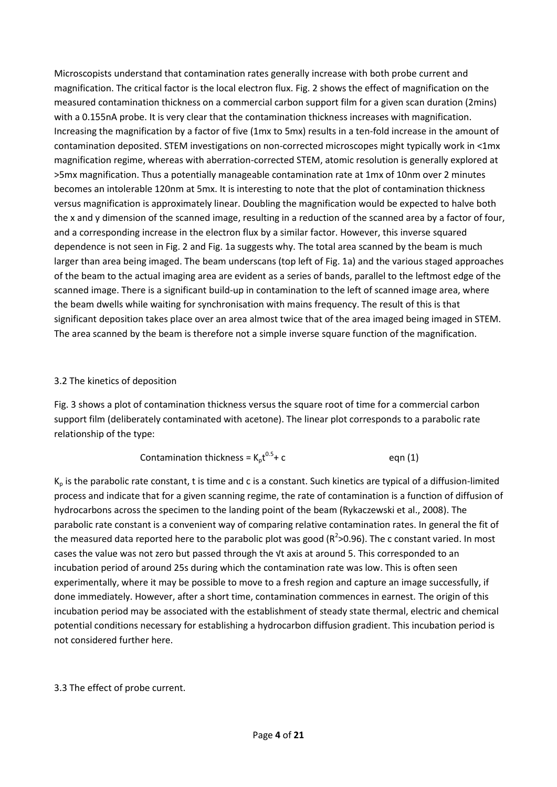Microscopists understand that contamination rates generally increase with both probe current and magnification. The critical factor is the local electron flux. Fig. 2 shows the effect of magnification on the measured contamination thickness on a commercial carbon support film for a given scan duration (2mins) with a 0.155nA probe. It is very clear that the contamination thickness increases with magnification. Increasing the magnification by a factor of five (1mx to 5mx) results in a ten-fold increase in the amount of contamination deposited. STEM investigations on non-corrected microscopes might typically work in <1mx magnification regime, whereas with aberration-corrected STEM, atomic resolution is generally explored at >5mx magnification. Thus a potentially manageable contamination rate at 1mx of 10nm over 2 minutes becomes an intolerable 120nm at 5mx. It is interesting to note that the plot of contamination thickness versus magnification is approximately linear. Doubling the magnification would be expected to halve both the x and y dimension of the scanned image, resulting in a reduction of the scanned area by a factor of four, and a corresponding increase in the electron flux by a similar factor. However, this inverse squared dependence is not seen in Fig. 2 and Fig. 1a suggests why. The total area scanned by the beam is much larger than area being imaged. The beam underscans (top left of Fig. 1a) and the various staged approaches of the beam to the actual imaging area are evident as a series of bands, parallel to the leftmost edge of the scanned image. There is a significant build-up in contamination to the left of scanned image area, where the beam dwells while waiting for synchronisation with mains frequency. The result of this is that significant deposition takes place over an area almost twice that of the area imaged being imaged in STEM. The area scanned by the beam is therefore not a simple inverse square function of the magnification.

# 3.2 The kinetics of deposition

Fig. 3 shows a plot of contamination thickness versus the square root of time for a commercial carbon support film (deliberately contaminated with acetone). The linear plot corresponds to a parabolic rate relationship of the type:

$$
Continuation thickness = K_p t^{0.5} + c
$$
 eqn (1)

 $K_p$  is the parabolic rate constant, t is time and c is a constant. Such kinetics are typical of a diffusion-limited process and indicate that for a given scanning regime, the rate of contamination is a function of diffusion of hydrocarbons across the specimen to the landing point of the beam [\(Rykaczewski et al., 2008\)](#page-16-5). The parabolic rate constant is a convenient way of comparing relative contamination rates. In general the fit of the measured data reported here to the parabolic plot was good ( $R^2$ >0.96). The c constant varied. In most cases the value was not zero but passed through the √t axis at around 5. This corresponded to an incubation period of around 25s during which the contamination rate was low. This is often seen experimentally, where it may be possible to move to a fresh region and capture an image successfully, if done immediately. However, after a short time, contamination commences in earnest. The origin of this incubation period may be associated with the establishment of steady state thermal, electric and chemical potential conditions necessary for establishing a hydrocarbon diffusion gradient. This incubation period is not considered further here.

#### 3.3 The effect of probe current.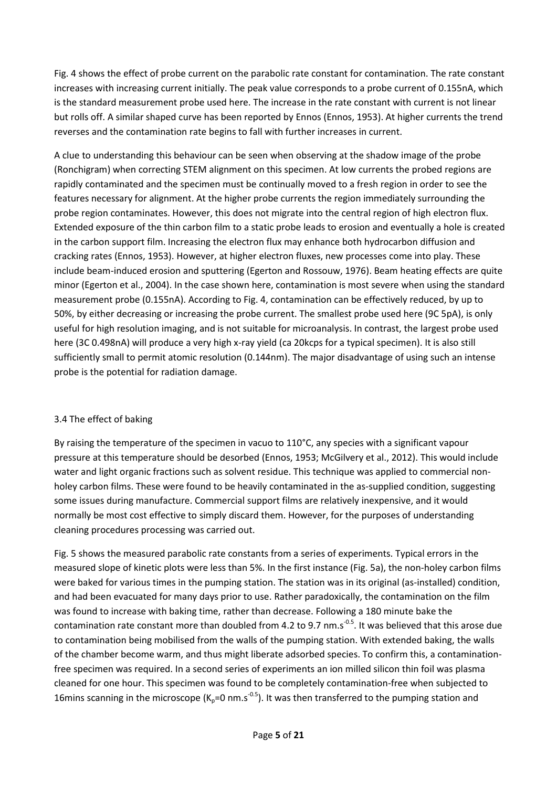Fig. 4 shows the effect of probe current on the parabolic rate constant for contamination. The rate constant increases with increasing current initially. The peak value corresponds to a probe current of 0.155nA, which is the standard measurement probe used here. The increase in the rate constant with current is not linear but rolls off. A similar shaped curve has been reported by Ennos [\(Ennos, 1953\)](#page-15-0). At higher currents the trend reverses and the contamination rate begins to fall with further increases in current.

A clue to understanding this behaviour can be seen when observing at the shadow image of the probe (Ronchigram) when correcting STEM alignment on this specimen. At low currents the probed regions are rapidly contaminated and the specimen must be continually moved to a fresh region in order to see the features necessary for alignment. At the higher probe currents the region immediately surrounding the probe region contaminates. However, this does not migrate into the central region of high electron flux. Extended exposure of the thin carbon film to a static probe leads to erosion and eventually a hole is created in the carbon support film. Increasing the electron flux may enhance both hydrocarbon diffusion and cracking rates [\(Ennos, 1953\)](#page-15-0). However, at higher electron fluxes, new processes come into play. These include beam-induced erosion and sputtering [\(Egerton and Rossouw, 1976\)](#page-15-6). Beam heating effects are quite minor [\(Egerton et al., 2004\)](#page-15-1). In the case shown here, contamination is most severe when using the standard measurement probe (0.155nA). According to Fig. 4, contamination can be effectively reduced, by up to 50%, by either decreasing or increasing the probe current. The smallest probe used here (9C 5pA), is only useful for high resolution imaging, and is not suitable for microanalysis. In contrast, the largest probe used here (3C 0.498nA) will produce a very high x-ray yield (ca 20kcps for a typical specimen). It is also still sufficiently small to permit atomic resolution (0.144nm). The major disadvantage of using such an intense probe is the potential for radiation damage.

# 3.4 The effect of baking

By raising the temperature of the specimen in vacuo to 110°C, any species with a significant vapour pressure at this temperature should be desorbed [\(Ennos, 1953;](#page-15-0) [McGilvery et al., 2012\)](#page-15-2). This would include water and light organic fractions such as solvent residue. This technique was applied to commercial nonholey carbon films. These were found to be heavily contaminated in the as-supplied condition, suggesting some issues during manufacture. Commercial support films are relatively inexpensive, and it would normally be most cost effective to simply discard them. However, for the purposes of understanding cleaning procedures processing was carried out.

Fig. 5 shows the measured parabolic rate constants from a series of experiments. Typical errors in the measured slope of kinetic plots were less than 5%. In the first instance (Fig. 5a), the non-holey carbon films were baked for various times in the pumping station. The station was in its original (as-installed) condition, and had been evacuated for many days prior to use. Rather paradoxically, the contamination on the film was found to increase with baking time, rather than decrease. Following a 180 minute bake the contamination rate constant more than doubled from 4.2 to 9.7 nm.s<sup>-0.5</sup>. It was believed that this arose due to contamination being mobilised from the walls of the pumping station. With extended baking, the walls of the chamber become warm, and thus might liberate adsorbed species. To confirm this, a contaminationfree specimen was required. In a second series of experiments an ion milled silicon thin foil was plasma cleaned for one hour. This specimen was found to be completely contamination-free when subjected to 16mins scanning in the microscope ( $K_p=0$  nm.s<sup>-0.5</sup>). It was then transferred to the pumping station and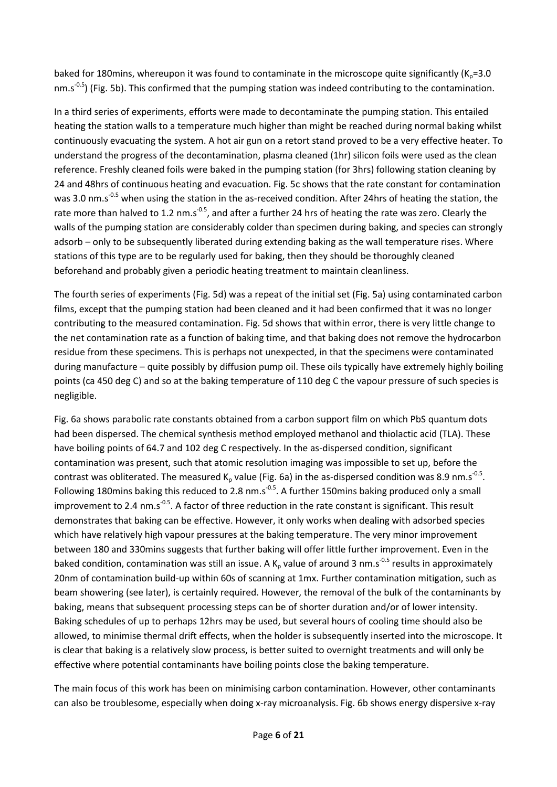baked for 180mins, whereupon it was found to contaminate in the microscope quite significantly ( $K_p=3.0$ ) nm.s<sup>-0.5</sup>) (Fig. 5b). This confirmed that the pumping station was indeed contributing to the contamination.

In a third series of experiments, efforts were made to decontaminate the pumping station. This entailed heating the station walls to a temperature much higher than might be reached during normal baking whilst continuously evacuating the system. A hot air gun on a retort stand proved to be a very effective heater. To understand the progress of the decontamination, plasma cleaned (1hr) silicon foils were used as the clean reference. Freshly cleaned foils were baked in the pumping station (for 3hrs) following station cleaning by 24 and 48hrs of continuous heating and evacuation. Fig. 5c shows that the rate constant for contamination was 3.0 nm.s<sup>-0.5</sup> when using the station in the as-received condition. After 24hrs of heating the station, the rate more than halved to 1.2 nm.s<sup>-0.5</sup>, and after a further 24 hrs of heating the rate was zero. Clearly the walls of the pumping station are considerably colder than specimen during baking, and species can strongly adsorb – only to be subsequently liberated during extending baking as the wall temperature rises. Where stations of this type are to be regularly used for baking, then they should be thoroughly cleaned beforehand and probably given a periodic heating treatment to maintain cleanliness.

The fourth series of experiments (Fig. 5d) was a repeat of the initial set (Fig. 5a) using contaminated carbon films, except that the pumping station had been cleaned and it had been confirmed that it was no longer contributing to the measured contamination. Fig. 5d shows that within error, there is very little change to the net contamination rate as a function of baking time, and that baking does not remove the hydrocarbon residue from these specimens. This is perhaps not unexpected, in that the specimens were contaminated during manufacture – quite possibly by diffusion pump oil. These oils typically have extremely highly boiling points (ca 450 deg C) and so at the baking temperature of 110 deg C the vapour pressure of such species is negligible.

Fig. 6a shows parabolic rate constants obtained from a carbon support film on which PbS quantum dots had been dispersed. The chemical synthesis method employed methanol and thiolactic acid (TLA). These have boiling points of 64.7 and 102 deg C respectively. In the as-dispersed condition, significant contamination was present, such that atomic resolution imaging was impossible to set up, before the contrast was obliterated. The measured K<sub>p</sub> value (Fig. 6a) in the as-dispersed condition was 8.9 nm.s<sup>-0.5</sup>. Following 180mins baking this reduced to 2.8 nm.s<sup>-0.5</sup>. A further 150mins baking produced only a small improvement to 2.4 nm.s<sup>-0.5</sup>. A factor of three reduction in the rate constant is significant. This result demonstrates that baking can be effective. However, it only works when dealing with adsorbed species which have relatively high vapour pressures at the baking temperature. The very minor improvement between 180 and 330mins suggests that further baking will offer little further improvement. Even in the baked condition, contamination was still an issue. A  $K_p$  value of around 3 nm.s<sup>-0.5</sup> results in approximately 20nm of contamination build-up within 60s of scanning at 1mx. Further contamination mitigation, such as beam showering (see later), is certainly required. However, the removal of the bulk of the contaminants by baking, means that subsequent processing steps can be of shorter duration and/or of lower intensity. Baking schedules of up to perhaps 12hrs may be used, but several hours of cooling time should also be allowed, to minimise thermal drift effects, when the holder is subsequently inserted into the microscope. It is clear that baking is a relatively slow process, is better suited to overnight treatments and will only be effective where potential contaminants have boiling points close the baking temperature.

The main focus of this work has been on minimising carbon contamination. However, other contaminants can also be troublesome, especially when doing x-ray microanalysis. Fig. 6b shows energy dispersive x-ray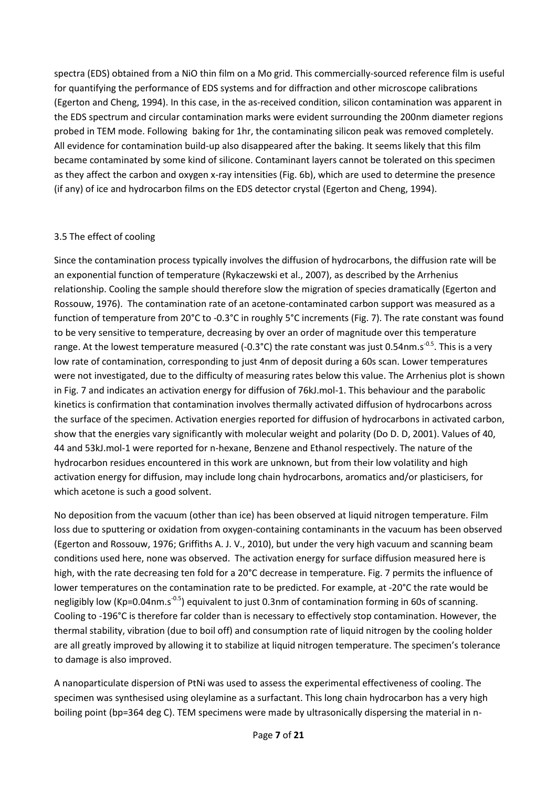spectra (EDS) obtained from a NiO thin film on a Mo grid. This commercially-sourced reference film is useful for quantifying the performance of EDS systems and for diffraction and other microscope calibrations [\(Egerton and Cheng, 1994\)](#page-15-9). In this case, in the as-received condition, silicon contamination was apparent in the EDS spectrum and circular contamination marks were evident surrounding the 200nm diameter regions probed in TEM mode. Following baking for 1hr, the contaminating silicon peak was removed completely. All evidence for contamination build-up also disappeared after the baking. It seems likely that this film became contaminated by some kind of silicone. Contaminant layers cannot be tolerated on this specimen as they affect the carbon and oxygen x-ray intensities (Fig. 6b), which are used to determine the presence (if any) of ice and hydrocarbon films on the EDS detector crystal [\(Egerton and Cheng, 1994\)](#page-15-9).

# 3.5 The effect of cooling

Since the contamination process typically involves the diffusion of hydrocarbons, the diffusion rate will be an exponential function of temperature [\(Rykaczewski et al., 2007\)](#page-16-6), as described by the Arrhenius relationship. Cooling the sample should therefore slow the migration of species dramatically [\(Egerton and](#page-15-6)  [Rossouw, 1976\)](#page-15-6). The contamination rate of an acetone-contaminated carbon support was measured as a function of temperature from 20°C to -0.3°C in roughly 5°C increments (Fig. 7). The rate constant was found to be very sensitive to temperature, decreasing by over an order of magnitude over this temperature range. At the lowest temperature measured (-0.3°C) the rate constant was just 0.54nm.s<sup>-0.5</sup>. This is a very low rate of contamination, corresponding to just 4nm of deposit during a 60s scan. Lower temperatures were not investigated, due to the difficulty of measuring rates below this value. The Arrhenius plot is shown in Fig. 7 and indicates an activation energy for diffusion of 76kJ.mol-1. This behaviour and the parabolic kinetics is confirmation that contamination involves thermally activated diffusion of hydrocarbons across the surface of the specimen. Activation energies reported for diffusion of hydrocarbons in activated carbon, show that the energies vary significantly with molecular weight and polarity [\(Do D. D, 2001\)](#page-15-10). Values of 40, 44 and 53kJ.mol-1 were reported for n-hexane, Benzene and Ethanol respectively. The nature of the hydrocarbon residues encountered in this work are unknown, but from their low volatility and high activation energy for diffusion, may include long chain hydrocarbons, aromatics and/or plasticisers, for which acetone is such a good solvent.

No deposition from the vacuum (other than ice) has been observed at liquid nitrogen temperature. Film loss due to sputtering or oxidation from oxygen-containing contaminants in the vacuum has been observed [\(Egerton and Rossouw, 1976;](#page-15-6) [Griffiths A. J. V., 2010\)](#page-15-3), but under the very high vacuum and scanning beam conditions used here, none was observed. The activation energy for surface diffusion measured here is high, with the rate decreasing ten fold for a 20°C decrease in temperature. Fig. 7 permits the influence of lower temperatures on the contamination rate to be predicted. For example, at -20°C the rate would be negligibly low (Kp=0.04nm.s<sup>-0.5</sup>) equivalent to just 0.3nm of contamination forming in 60s of scanning. Cooling to -196°C is therefore far colder than is necessary to effectively stop contamination. However, the thermal stability, vibration (due to boil off) and consumption rate of liquid nitrogen by the cooling holder are all greatly improved by allowing it to stabilize at liquid nitrogen temperature. The specimen's tolerance to damage is also improved.

A nanoparticulate dispersion of PtNi was used to assess the experimental effectiveness of cooling. The specimen was synthesised using oleylamine as a surfactant. This long chain hydrocarbon has a very high boiling point (bp=364 deg C). TEM specimens were made by ultrasonically dispersing the material in n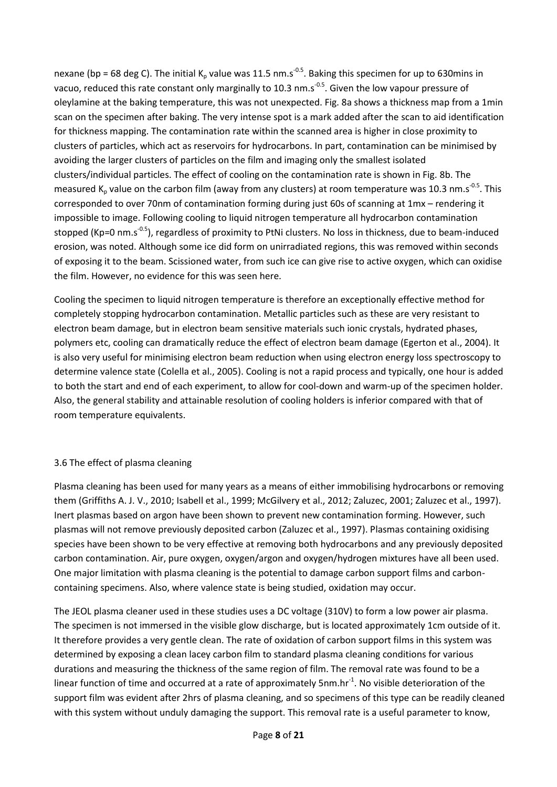nexane (bp = 68 deg C). The initial K<sub>p</sub> value was 11.5 nm.s<sup>-0.5</sup>. Baking this specimen for up to 630mins in vacuo, reduced this rate constant only marginally to 10.3 nm.s<sup>-0.5</sup>. Given the low vapour pressure of oleylamine at the baking temperature, this was not unexpected. Fig. 8a shows a thickness map from a 1min scan on the specimen after baking. The very intense spot is a mark added after the scan to aid identification for thickness mapping. The contamination rate within the scanned area is higher in close proximity to clusters of particles, which act as reservoirs for hydrocarbons. In part, contamination can be minimised by avoiding the larger clusters of particles on the film and imaging only the smallest isolated clusters/individual particles. The effect of cooling on the contamination rate is shown in Fig. 8b. The measured K<sub>p</sub> value on the carbon film (away from any clusters) at room temperature was 10.3 nm.s<sup>-0.5</sup>. This corresponded to over 70nm of contamination forming during just 60s of scanning at 1mx – rendering it impossible to image. Following cooling to liquid nitrogen temperature all hydrocarbon contamination stopped (Kp=0 nm.s<sup>-0.5</sup>), regardless of proximity to PtNi clusters. No loss in thickness, due to beam-induced erosion, was noted. Although some ice did form on unirradiated regions, this was removed within seconds of exposing it to the beam. Scissioned water, from such ice can give rise to active oxygen, which can oxidise the film. However, no evidence for this was seen here.

Cooling the specimen to liquid nitrogen temperature is therefore an exceptionally effective method for completely stopping hydrocarbon contamination. Metallic particles such as these are very resistant to electron beam damage, but in electron beam sensitive materials such ionic crystals, hydrated phases, polymers etc, cooling can dramatically reduce the effect of electron beam damage [\(Egerton et al., 2004\)](#page-15-1). It is also very useful for minimising electron beam reduction when using electron energy loss spectroscopy to determine valence state [\(Colella et al., 2005\)](#page-15-11). Cooling is not a rapid process and typically, one hour is added to both the start and end of each experiment, to allow for cool-down and warm-up of the specimen holder. Also, the general stability and attainable resolution of cooling holders is inferior compared with that of room temperature equivalents.

# 3.6 The effect of plasma cleaning

Plasma cleaning has been used for many years as a means of either immobilising hydrocarbons or removing them [\(Griffiths A. J. V., 2010;](#page-15-3) [Isabell et al., 1999;](#page-15-4) [McGilvery et al., 2012;](#page-15-2) [Zaluzec, 2001;](#page-16-2) [Zaluzec et al., 1997\)](#page-16-3). Inert plasmas based on argon have been shown to prevent new contamination forming. However, such plasmas will not remove previously deposited carbon [\(Zaluzec et al., 1997\)](#page-16-3). Plasmas containing oxidising species have been shown to be very effective at removing both hydrocarbons and any previously deposited carbon contamination. Air, pure oxygen, oxygen/argon and oxygen/hydrogen mixtures have all been used. One major limitation with plasma cleaning is the potential to damage carbon support films and carboncontaining specimens. Also, where valence state is being studied, oxidation may occur.

The JEOL plasma cleaner used in these studies uses a DC voltage (310V) to form a low power air plasma. The specimen is not immersed in the visible glow discharge, but is located approximately 1cm outside of it. It therefore provides a very gentle clean. The rate of oxidation of carbon support films in this system was determined by exposing a clean lacey carbon film to standard plasma cleaning conditions for various durations and measuring the thickness of the same region of film. The removal rate was found to be a linear function of time and occurred at a rate of approximately 5nm.hr<sup>-1</sup>. No visible deterioration of the support film was evident after 2hrs of plasma cleaning, and so specimens of this type can be readily cleaned with this system without unduly damaging the support. This removal rate is a useful parameter to know,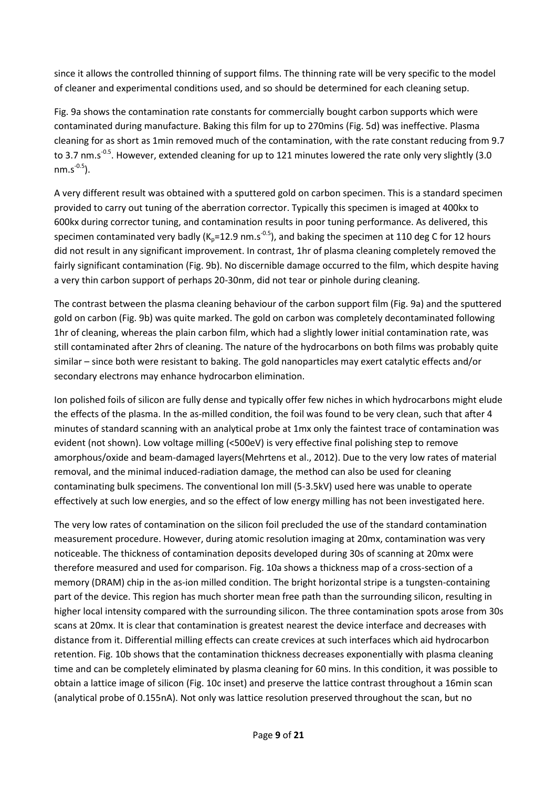since it allows the controlled thinning of support films. The thinning rate will be very specific to the model of cleaner and experimental conditions used, and so should be determined for each cleaning setup.

Fig. 9a shows the contamination rate constants for commercially bought carbon supports which were contaminated during manufacture. Baking this film for up to 270mins (Fig. 5d) was ineffective. Plasma cleaning for as short as 1min removed much of the contamination, with the rate constant reducing from 9.7 to 3.7 nm.s<sup>-0.5</sup>. However, extended cleaning for up to 121 minutes lowered the rate only very slightly (3.0  $nm.s^{-0.5}$ ).

A very different result was obtained with a sputtered gold on carbon specimen. This is a standard specimen provided to carry out tuning of the aberration corrector. Typically this specimen is imaged at 400kx to 600kx during corrector tuning, and contamination results in poor tuning performance. As delivered, this specimen contaminated very badly ( $K_p = 12.9$  nm.s<sup>-0.5</sup>), and baking the specimen at 110 deg C for 12 hours did not result in any significant improvement. In contrast, 1hr of plasma cleaning completely removed the fairly significant contamination (Fig. 9b). No discernible damage occurred to the film, which despite having a very thin carbon support of perhaps 20-30nm, did not tear or pinhole during cleaning.

The contrast between the plasma cleaning behaviour of the carbon support film (Fig. 9a) and the sputtered gold on carbon (Fig. 9b) was quite marked. The gold on carbon was completely decontaminated following 1hr of cleaning, whereas the plain carbon film, which had a slightly lower initial contamination rate, was still contaminated after 2hrs of cleaning. The nature of the hydrocarbons on both films was probably quite similar – since both were resistant to baking. The gold nanoparticles may exert catalytic effects and/or secondary electrons may enhance hydrocarbon elimination.

Ion polished foils of silicon are fully dense and typically offer few niches in which hydrocarbons might elude the effects of the plasma. In the as-milled condition, the foil was found to be very clean, such that after 4 minutes of standard scanning with an analytical probe at 1mx only the faintest trace of contamination was evident (not shown). Low voltage milling (<500eV) is very effective final polishing step to remove amorphous/oxide and beam-damaged layers[\(Mehrtens et al., 2012\)](#page-15-12). Due to the very low rates of material removal, and the minimal induced-radiation damage, the method can also be used for cleaning contaminating bulk specimens. The conventional Ion mill (5-3.5kV) used here was unable to operate effectively at such low energies, and so the effect of low energy milling has not been investigated here.

The very low rates of contamination on the silicon foil precluded the use of the standard contamination measurement procedure. However, during atomic resolution imaging at 20mx, contamination was very noticeable. The thickness of contamination deposits developed during 30s of scanning at 20mx were therefore measured and used for comparison. Fig. 10a shows a thickness map of a cross-section of a memory (DRAM) chip in the as-ion milled condition. The bright horizontal stripe is a tungsten-containing part of the device. This region has much shorter mean free path than the surrounding silicon, resulting in higher local intensity compared with the surrounding silicon. The three contamination spots arose from 30s scans at 20mx. It is clear that contamination is greatest nearest the device interface and decreases with distance from it. Differential milling effects can create crevices at such interfaces which aid hydrocarbon retention. Fig. 10b shows that the contamination thickness decreases exponentially with plasma cleaning time and can be completely eliminated by plasma cleaning for 60 mins. In this condition, it was possible to obtain a lattice image of silicon (Fig. 10c inset) and preserve the lattice contrast throughout a 16min scan (analytical probe of 0.155nA). Not only was lattice resolution preserved throughout the scan, but no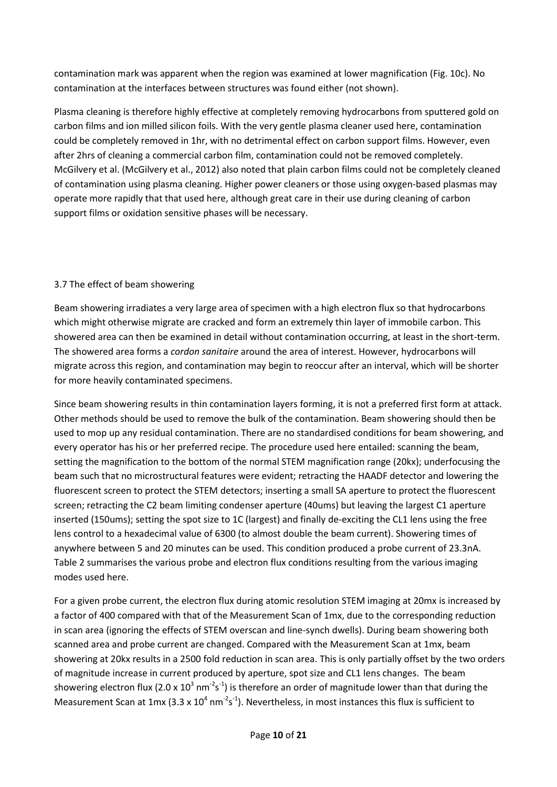contamination mark was apparent when the region was examined at lower magnification (Fig. 10c). No contamination at the interfaces between structures was found either (not shown).

Plasma cleaning is therefore highly effective at completely removing hydrocarbons from sputtered gold on carbon films and ion milled silicon foils. With the very gentle plasma cleaner used here, contamination could be completely removed in 1hr, with no detrimental effect on carbon support films. However, even after 2hrs of cleaning a commercial carbon film, contamination could not be removed completely. McGilvery et al. [\(McGilvery et al., 2012\)](#page-15-2) also noted that plain carbon films could not be completely cleaned of contamination using plasma cleaning. Higher power cleaners or those using oxygen-based plasmas may operate more rapidly that that used here, although great care in their use during cleaning of carbon support films or oxidation sensitive phases will be necessary.

# 3.7 The effect of beam showering

Beam showering irradiates a very large area of specimen with a high electron flux so that hydrocarbons which might otherwise migrate are cracked and form an extremely thin layer of immobile carbon. This showered area can then be examined in detail without contamination occurring, at least in the short-term. The showered area forms a *cordon sanitaire* around the area of interest. However, hydrocarbons will migrate across this region, and contamination may begin to reoccur after an interval, which will be shorter for more heavily contaminated specimens.

Since beam showering results in thin contamination layers forming, it is not a preferred first form at attack. Other methods should be used to remove the bulk of the contamination. Beam showering should then be used to mop up any residual contamination. There are no standardised conditions for beam showering, and every operator has his or her preferred recipe. The procedure used here entailed: scanning the beam, setting the magnification to the bottom of the normal STEM magnification range (20kx); underfocusing the beam such that no microstructural features were evident; retracting the HAADF detector and lowering the fluorescent screen to protect the STEM detectors; inserting a small SA aperture to protect the fluorescent screen; retracting the C2 beam limiting condenser aperture (40ums) but leaving the largest C1 aperture inserted (150ums); setting the spot size to 1C (largest) and finally de-exciting the CL1 lens using the free lens control to a hexadecimal value of 6300 (to almost double the beam current). Showering times of anywhere between 5 and 20 minutes can be used. This condition produced a probe current of 23.3nA. Table 2 summarises the various probe and electron flux conditions resulting from the various imaging modes used here.

For a given probe current, the electron flux during atomic resolution STEM imaging at 20mx is increased by a factor of 400 compared with that of the Measurement Scan of 1mx, due to the corresponding reduction in scan area (ignoring the effects of STEM overscan and line-synch dwells). During beam showering both scanned area and probe current are changed. Compared with the Measurement Scan at 1mx, beam showering at 20kx results in a 2500 fold reduction in scan area. This is only partially offset by the two orders of magnitude increase in current produced by aperture, spot size and CL1 lens changes. The beam showering electron flux (2.0 x 10<sup>3</sup> nm<sup>-2</sup>s<sup>-1</sup>) is therefore an order of magnitude lower than that during the Measurement Scan at 1mx (3.3 x  $10^4$  nm<sup>-2</sup>s<sup>-1</sup>). Nevertheless, in most instances this flux is sufficient to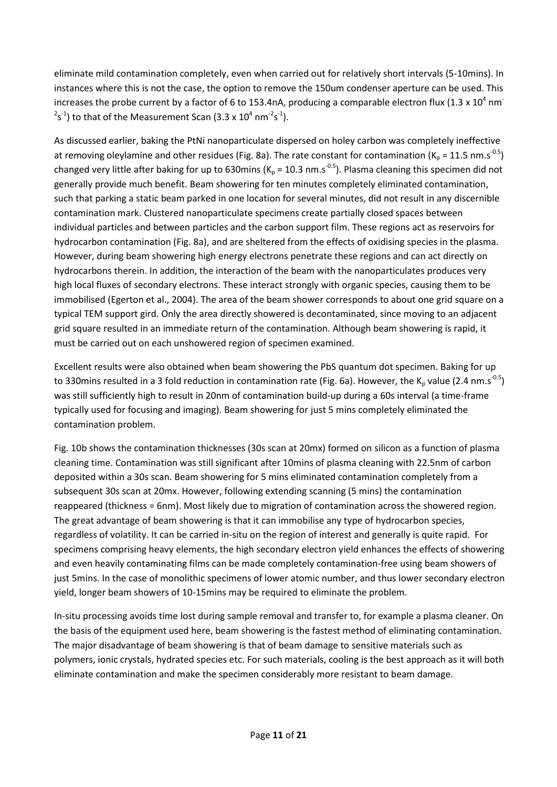eliminate mild contamination completely, even when carried out for relatively short intervals (5-10mins). In instances where this is not the case, the option to remove the 150um condenser aperture can be used. This increases the probe current by a factor of 6 to 153.4nA, producing a comparable electron flux (1.3 x 10<sup>4</sup> nm<sup>-</sup>  $2s^{-1}$ ) to that of the Measurement Scan (3.3 x 10<sup>4</sup> nm<sup>-2</sup>s<sup>-1</sup>).

As discussed earlier, baking the PtNi nanoparticulate dispersed on holey carbon was completely ineffective at removing oleylamine and other residues (Fig. 8a). The rate constant for contamination ( $K_p = 11.5$  nm.s<sup>-0.5</sup>) changed very little after baking for up to 630mins ( $K_p = 10.3$  nm.s<sup>-0.5</sup>). Plasma cleaning this specimen did not generally provide much benefit. Beam showering for ten minutes completely eliminated contamination, such that parking a static beam parked in one location for several minutes, did not result in any discernible contamination mark. Clustered nanoparticulate specimens create partially closed spaces between individual particles and between particles and the carbon support film. These regions act as reservoirs for hydrocarbon contamination (Fig. 8a), and are sheltered from the effects of oxidising species in the plasma. However, during beam showering high energy electrons penetrate these regions and can act directly on hydrocarbons therein. In addition, the interaction of the beam with the nanoparticulates produces very high local fluxes of secondary electrons. These interact strongly with organic species, causing them to be immobilised [\(Egerton et al., 2004\)](#page-15-1). The area of the beam shower corresponds to about one grid square on a typical TEM support gird. Only the area directly showered is decontaminated, since moving to an adjacent grid square resulted in an immediate return of the contamination. Although beam showering is rapid, it must be carried out on each unshowered region of specimen examined.

Excellent results were also obtained when beam showering the PbS quantum dot specimen. Baking for up to 330mins resulted in a 3 fold reduction in contamination rate (Fig. 6a). However, the K<sub>p</sub> value (2.4 nm.s<sup>-0.5</sup>) was still sufficiently high to result in 20nm of contamination build-up during a 60s interval (a time-frame typically used for focusing and imaging). Beam showering for just 5 mins completely eliminated the contamination problem.

Fig. 10b shows the contamination thicknesses (30s scan at 20mx) formed on silicon as a function of plasma cleaning time. Contamination was still significant after 10mins of plasma cleaning with 22.5nm of carbon deposited within a 30s scan. Beam showering for 5 mins eliminated contamination completely from a subsequent 30s scan at 20mx. However, following extending scanning (5 mins) the contamination reappeared (thickness = 6nm). Most likely due to migration of contamination across the showered region. The great advantage of beam showering is that it can immobilise any type of hydrocarbon species, regardless of volatility. It can be carried in-situ on the region of interest and generally is quite rapid. For specimens comprising heavy elements, the high secondary electron yield enhances the effects of showering and even heavily contaminating films can be made completely contamination-free using beam showers of just 5mins. In the case of monolithic specimens of lower atomic number, and thus lower secondary electron yield, longer beam showers of 10-15mins may be required to eliminate the problem.

In-situ processing avoids time lost during sample removal and transfer to, for example a plasma cleaner. On the basis of the equipment used here, beam showering is the fastest method of eliminating contamination. The major disadvantage of beam showering is that of beam damage to sensitive materials such as polymers, ionic crystals, hydrated species etc. For such materials, cooling is the best approach as it will both eliminate contamination and make the specimen considerably more resistant to beam damage.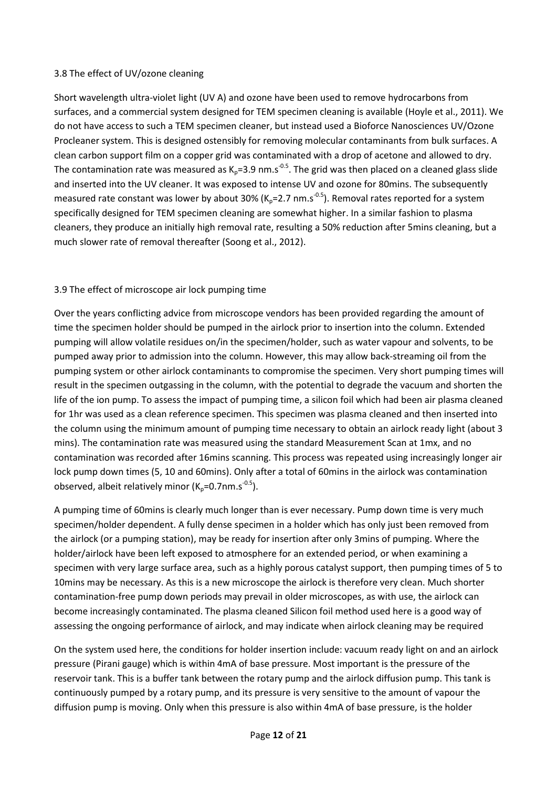#### 3.8 The effect of UV/ozone cleaning

Short wavelength ultra-violet light (UV A) and ozone have been used to remove hydrocarbons from surfaces, and a commercial system designed for TEM specimen cleaning is available [\(Hoyle et al., 2011\)](#page-15-5). We do not have access to such a TEM specimen cleaner, but instead used a Bioforce Nanosciences UV/Ozone Procleaner system. This is designed ostensibly for removing molecular contaminants from bulk surfaces. A clean carbon support film on a copper grid was contaminated with a drop of acetone and allowed to dry. The contamination rate was measured as K<sub>p</sub>=3.9 nm.s<sup>-0.5</sup>. The grid was then placed on a cleaned glass slide and inserted into the UV cleaner. It was exposed to intense UV and ozone for 80mins. The subsequently measured rate constant was lower by about 30% ( $K_p$ =2.7 nm.s<sup>-0.5</sup>). Removal rates reported for a system specifically designed for TEM specimen cleaning are somewhat higher. In a similar fashion to plasma cleaners, they produce an initially high removal rate, resulting a 50% reduction after 5mins cleaning, but a much slower rate of removal thereafter [\(Soong et al., 2012\)](#page-16-1).

# 3.9 The effect of microscope air lock pumping time

Over the years conflicting advice from microscope vendors has been provided regarding the amount of time the specimen holder should be pumped in the airlock prior to insertion into the column. Extended pumping will allow volatile residues on/in the specimen/holder, such as water vapour and solvents, to be pumped away prior to admission into the column. However, this may allow back-streaming oil from the pumping system or other airlock contaminants to compromise the specimen. Very short pumping times will result in the specimen outgassing in the column, with the potential to degrade the vacuum and shorten the life of the ion pump. To assess the impact of pumping time, a silicon foil which had been air plasma cleaned for 1hr was used as a clean reference specimen. This specimen was plasma cleaned and then inserted into the column using the minimum amount of pumping time necessary to obtain an airlock ready light (about 3 mins). The contamination rate was measured using the standard Measurement Scan at 1mx, and no contamination was recorded after 16mins scanning. This process was repeated using increasingly longer air lock pump down times (5, 10 and 60mins). Only after a total of 60mins in the airlock was contamination observed, albeit relatively minor  $(K_p=0.7$ nm.s<sup>-0.5</sup>).

A pumping time of 60mins is clearly much longer than is ever necessary. Pump down time is very much specimen/holder dependent. A fully dense specimen in a holder which has only just been removed from the airlock (or a pumping station), may be ready for insertion after only 3mins of pumping. Where the holder/airlock have been left exposed to atmosphere for an extended period, or when examining a specimen with very large surface area, such as a highly porous catalyst support, then pumping times of 5 to 10mins may be necessary. As this is a new microscope the airlock is therefore very clean. Much shorter contamination-free pump down periods may prevail in older microscopes, as with use, the airlock can become increasingly contaminated. The plasma cleaned Silicon foil method used here is a good way of assessing the ongoing performance of airlock, and may indicate when airlock cleaning may be required

On the system used here, the conditions for holder insertion include: vacuum ready light on and an airlock pressure (Pirani gauge) which is within 4mA of base pressure. Most important is the pressure of the reservoir tank. This is a buffer tank between the rotary pump and the airlock diffusion pump. This tank is continuously pumped by a rotary pump, and its pressure is very sensitive to the amount of vapour the diffusion pump is moving. Only when this pressure is also within 4mA of base pressure, is the holder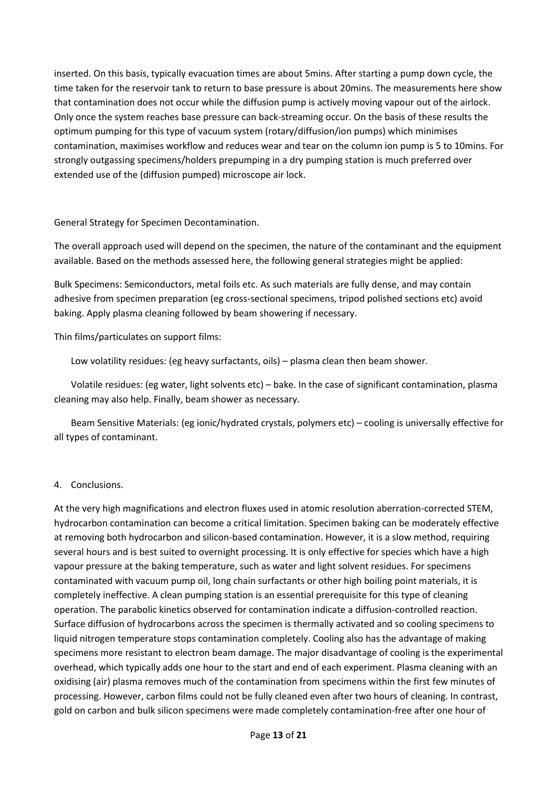inserted. On this basis, typically evacuation times are about 5mins. After starting a pump down cycle, the time taken for the reservoir tank to return to base pressure is about 20mins. The measurements here show that contamination does not occur while the diffusion pump is actively moving vapour out of the airlock. Only once the system reaches base pressure can back-streaming occur. On the basis of these results the optimum pumping for this type of vacuum system (rotary/diffusion/ion pumps) which minimises contamination, maximises workflow and reduces wear and tear on the column ion pump is 5 to 10mins. For strongly outgassing specimens/holders prepumping in a dry pumping station is much preferred over extended use of the (diffusion pumped) microscope air lock.

General Strategy for Specimen Decontamination.

The overall approach used will depend on the specimen, the nature of the contaminant and the equipment available. Based on the methods assessed here, the following general strategies might be applied:

Bulk Specimens: Semiconductors, metal foils etc. As such materials are fully dense, and may contain adhesive from specimen preparation (eg cross-sectional specimens, tripod polished sections etc) avoid baking. Apply plasma cleaning followed by beam showering if necessary.

Thin films/particulates on support films:

Low volatility residues: (eg heavy surfactants, oils) – plasma clean then beam shower.

Volatile residues: (eg water, light solvents etc) – bake. In the case of significant contamination, plasma cleaning may also help. Finally, beam shower as necessary.

Beam Sensitive Materials: (eg ionic/hydrated crystals, polymers etc) – cooling is universally effective for all types of contaminant.

#### 4. Conclusions.

At the very high magnifications and electron fluxes used in atomic resolution aberration-corrected STEM, hydrocarbon contamination can become a critical limitation. Specimen baking can be moderately effective at removing both hydrocarbon and silicon-based contamination. However, it is a slow method, requiring several hours and is best suited to overnight processing. It is only effective for species which have a high vapour pressure at the baking temperature, such as water and light solvent residues. For specimens contaminated with vacuum pump oil, long chain surfactants or other high boiling point materials, it is completely ineffective. A clean pumping station is an essential prerequisite for this type of cleaning operation. The parabolic kinetics observed for contamination indicate a diffusion-controlled reaction. Surface diffusion of hydrocarbons across the specimen is thermally activated and so cooling specimens to liquid nitrogen temperature stops contamination completely. Cooling also has the advantage of making specimens more resistant to electron beam damage. The major disadvantage of cooling is the experimental overhead, which typically adds one hour to the start and end of each experiment. Plasma cleaning with an oxidising (air) plasma removes much of the contamination from specimens within the first few minutes of processing. However, carbon films could not be fully cleaned even after two hours of cleaning. In contrast, gold on carbon and bulk silicon specimens were made completely contamination-free after one hour of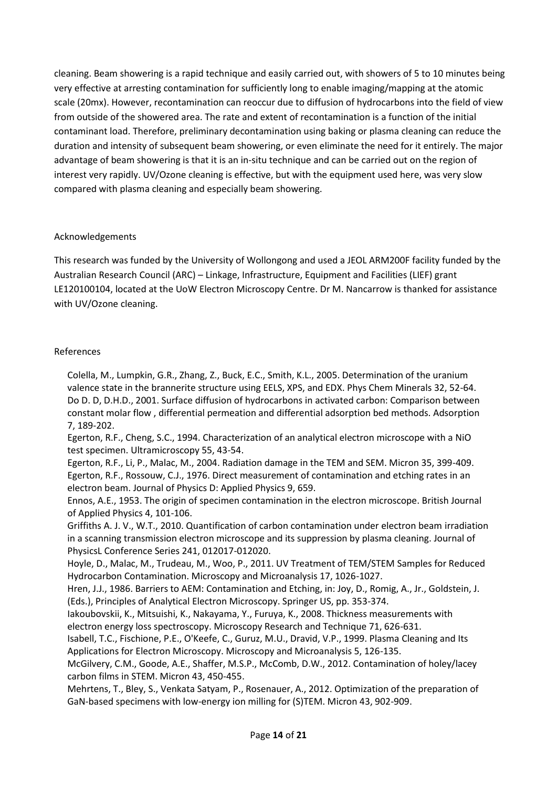cleaning. Beam showering is a rapid technique and easily carried out, with showers of 5 to 10 minutes being very effective at arresting contamination for sufficiently long to enable imaging/mapping at the atomic scale (20mx). However, recontamination can reoccur due to diffusion of hydrocarbons into the field of view from outside of the showered area. The rate and extent of recontamination is a function of the initial contaminant load. Therefore, preliminary decontamination using baking or plasma cleaning can reduce the duration and intensity of subsequent beam showering, or even eliminate the need for it entirely. The major advantage of beam showering is that it is an in-situ technique and can be carried out on the region of interest very rapidly. UV/Ozone cleaning is effective, but with the equipment used here, was very slow compared with plasma cleaning and especially beam showering.

#### Acknowledgements

This research was funded by the University of Wollongong and used a JEOL ARM200F facility funded by the Australian Research Council (ARC) – Linkage, Infrastructure, Equipment and Facilities (LIEF) grant LE120100104, located at the UoW Electron Microscopy Centre. Dr M. Nancarrow is thanked for assistance with UV/Ozone cleaning.

# References

<span id="page-15-11"></span><span id="page-15-10"></span>Colella, M., Lumpkin, G.R., Zhang, Z., Buck, E.C., Smith, K.L., 2005. Determination of the uranium valence state in the brannerite structure using EELS, XPS, and EDX. Phys Chem Minerals 32, 52-64. Do D. D, D.H.D., 2001. Surface diffusion of hydrocarbons in activated carbon: Comparison between constant molar flow , differential permeation and differential adsorption bed methods. Adsorption 7, 189-202.

<span id="page-15-9"></span>Egerton, R.F., Cheng, S.C., 1994. Characterization of an analytical electron microscope with a NiO test specimen. Ultramicroscopy 55, 43-54.

<span id="page-15-6"></span><span id="page-15-1"></span>Egerton, R.F., Li, P., Malac, M., 2004. Radiation damage in the TEM and SEM. Micron 35, 399-409. Egerton, R.F., Rossouw, C.J., 1976. Direct measurement of contamination and etching rates in an electron beam. Journal of Physics D: Applied Physics 9, 659.

<span id="page-15-0"></span>Ennos, A.E., 1953. The origin of specimen contamination in the electron microscope. British Journal of Applied Physics 4, 101-106.

<span id="page-15-3"></span>Griffiths A. J. V., W.T., 2010. Quantification of carbon contamination under electron beam irradiation in a scanning transmission electron microscope and its suppression by plasma cleaning. Journal of PhysicsL Conference Series 241, 012017-012020.

<span id="page-15-5"></span>Hoyle, D., Malac, M., Trudeau, M., Woo, P., 2011. UV Treatment of TEM/STEM Samples for Reduced Hydrocarbon Contamination. Microscopy and Microanalysis 17, 1026-1027.

<span id="page-15-7"></span>Hren, J.J., 1986. Barriers to AEM: Contamination and Etching, in: Joy, D., Romig, A., Jr., Goldstein, J. (Eds.), Principles of Analytical Electron Microscopy. Springer US, pp. 353-374.

<span id="page-15-8"></span>Iakoubovskii, K., Mitsuishi, K., Nakayama, Y., Furuya, K., 2008. Thickness measurements with electron energy loss spectroscopy. Microscopy Research and Technique 71, 626-631.

<span id="page-15-4"></span>Isabell, T.C., Fischione, P.E., O'Keefe, C., Guruz, M.U., Dravid, V.P., 1999. Plasma Cleaning and Its Applications for Electron Microscopy. Microscopy and Microanalysis 5, 126-135.

<span id="page-15-2"></span>McGilvery, C.M., Goode, A.E., Shaffer, M.S.P., McComb, D.W., 2012. Contamination of holey/lacey carbon films in STEM. Micron 43, 450-455.

<span id="page-15-12"></span>Mehrtens, T., Bley, S., Venkata Satyam, P., Rosenauer, A., 2012. Optimization of the preparation of GaN-based specimens with low-energy ion milling for (S)TEM. Micron 43, 902-909.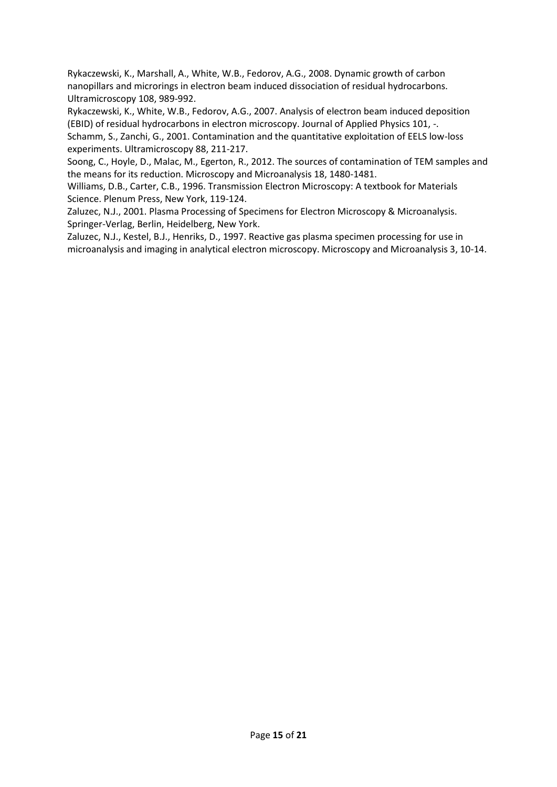<span id="page-16-5"></span>Rykaczewski, K., Marshall, A., White, W.B., Fedorov, A.G., 2008. Dynamic growth of carbon nanopillars and microrings in electron beam induced dissociation of residual hydrocarbons. Ultramicroscopy 108, 989-992.

<span id="page-16-6"></span><span id="page-16-4"></span>Rykaczewski, K., White, W.B., Fedorov, A.G., 2007. Analysis of electron beam induced deposition (EBID) of residual hydrocarbons in electron microscopy. Journal of Applied Physics 101, -. Schamm, S., Zanchi, G., 2001. Contamination and the quantitative exploitation of EELS low-loss experiments. Ultramicroscopy 88, 211-217.

<span id="page-16-1"></span>Soong, C., Hoyle, D., Malac, M., Egerton, R., 2012. The sources of contamination of TEM samples and the means for its reduction. Microscopy and Microanalysis 18, 1480-1481.

<span id="page-16-0"></span>Williams, D.B., Carter, C.B., 1996. Transmission Electron Microscopy: A textbook for Materials Science. Plenum Press, New York, 119-124.

<span id="page-16-2"></span>Zaluzec, N.J., 2001. Plasma Processing of Specimens for Electron Microscopy & Microanalysis. Springer-Verlag, Berlin, Heidelberg, New York.

<span id="page-16-3"></span>Zaluzec, N.J., Kestel, B.J., Henriks, D., 1997. Reactive gas plasma specimen processing for use in microanalysis and imaging in analytical electron microscopy. Microscopy and Microanalysis 3, 10-14.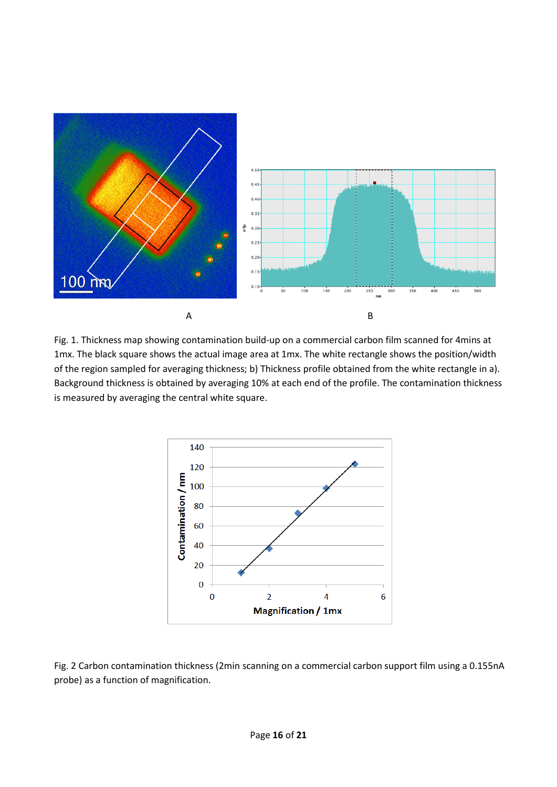

Fig. 1. Thickness map showing contamination build-up on a commercial carbon film scanned for 4mins at 1mx. The black square shows the actual image area at 1mx. The white rectangle shows the position/width of the region sampled for averaging thickness; b) Thickness profile obtained from the white rectangle in a). Background thickness is obtained by averaging 10% at each end of the profile. The contamination thickness is measured by averaging the central white square.



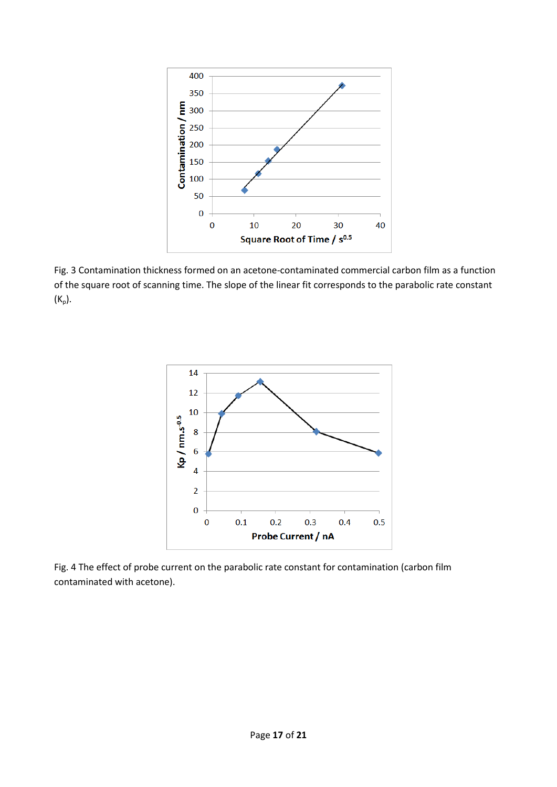

Fig. 3 Contamination thickness formed on an acetone-contaminated commercial carbon film as a function of the square root of scanning time. The slope of the linear fit corresponds to the parabolic rate constant  $(K_p)$ .



Fig. 4 The effect of probe current on the parabolic rate constant for contamination (carbon film contaminated with acetone).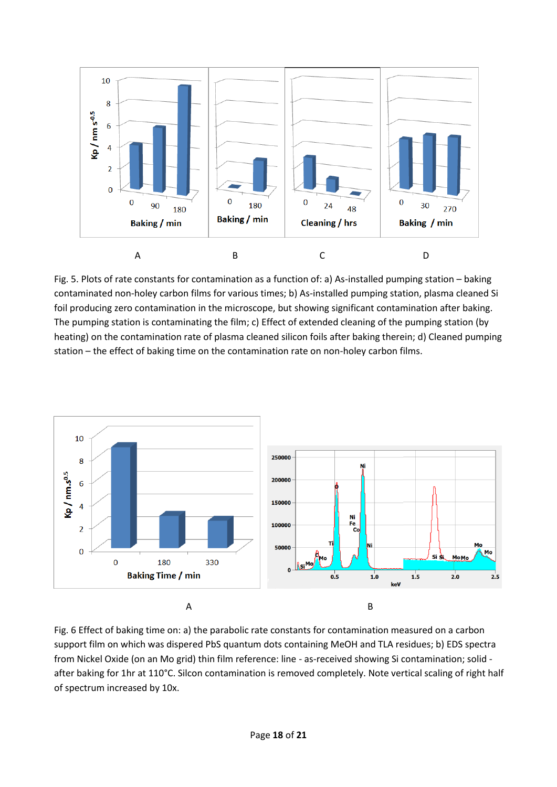

Fig. 5. Plots of rate constants for contamination as a function of: a) As-installed pumping station – baking contaminated non-holey carbon films for various times; b) As-installed pumping station, plasma cleaned Si foil producing zero contamination in the microscope, but showing significant contamination after baking. The pumping station is contaminating the film; c) Effect of extended cleaning of the pumping station (by heating) on the contamination rate of plasma cleaned silicon foils after baking therein; d) Cleaned pumping station – the effect of baking time on the contamination rate on non-holey carbon films.



Fig. 6 Effect of baking time on: a) the parabolic rate constants for contamination measured on a carbon support film on which was dispered PbS quantum dots containing MeOH and TLA residues; b) EDS spectra from Nickel Oxide (on an Mo grid) thin film reference: line - as-received showing Si contamination; solid after baking for 1hr at 110°C. Silcon contamination is removed completely. Note vertical scaling of right half of spectrum increased by 10x.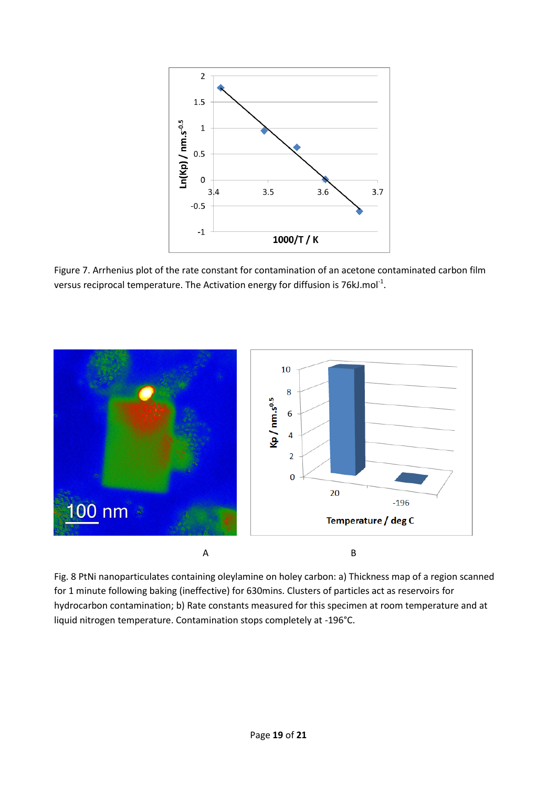

Figure 7. Arrhenius plot of the rate constant for contamination of an acetone contaminated carbon film versus reciprocal temperature. The Activation energy for diffusion is 76kJ.mol<sup>-1</sup>.



Fig. 8 PtNi nanoparticulates containing oleylamine on holey carbon: a) Thickness map of a region scanned for 1 minute following baking (ineffective) for 630mins. Clusters of particles act as reservoirs for hydrocarbon contamination; b) Rate constants measured for this specimen at room temperature and at liquid nitrogen temperature. Contamination stops completely at -196°C.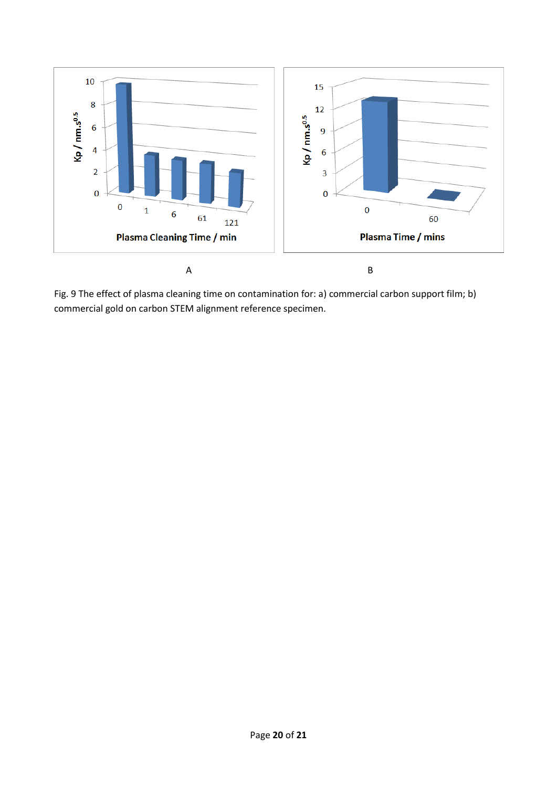

Fig. 9 The effect of plasma cleaning time on contamination for: a) commercial carbon support film; b) commercial gold on carbon STEM alignment reference specimen.